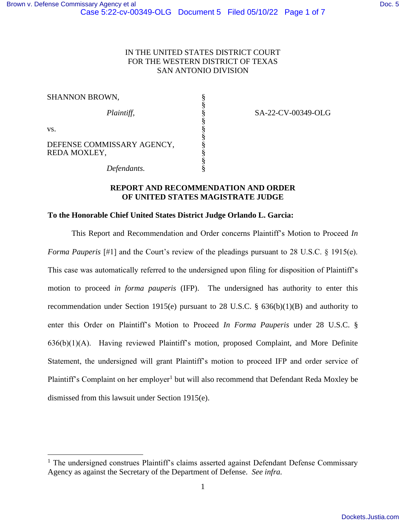## IN THE UNITED STATES DISTRICT COURT FOR THE WESTERN DISTRICT OF TEXAS SAN ANTONIO DIVISION

| <b>SHANNON BROWN,</b>                      |  |
|--------------------------------------------|--|
| Plaintiff,                                 |  |
| VS.                                        |  |
| DEFENSE COMMISSARY AGENCY,<br>REDA MOXLEY, |  |
| Defendants.                                |  |

SA-22-CV-00349-OLG

## **REPORT AND RECOMMENDATION AND ORDER OF UNITED STATES MAGISTRATE JUDGE**

#### **To the Honorable Chief United States District Judge Orlando L. Garcia:**

This Report and Recommendation and Order concerns Plaintiff's Motion to Proceed *In Forma Pauperis* [#1] and the Court's review of the pleadings pursuant to 28 U.S.C. § 1915(e). This case was automatically referred to the undersigned upon filing for disposition of Plaintiff's motion to proceed *in forma pauperis* (IFP). The undersigned has authority to enter this recommendation under Section 1915(e) pursuant to 28 U.S.C. § 636(b)(1)(B) and authority to enter this Order on Plaintiff's Motion to Proceed *In Forma Pauperis* under 28 U.S.C. § 636(b)(1)(A). Having reviewed Plaintiff's motion, proposed Complaint, and More Definite Statement, the undersigned will grant Plaintiff's motion to proceed IFP and order service of Plaintiff's Complaint on her employer<sup>1</sup> but will also recommend that Defendant Reda Moxley be dismissed from this lawsuit under Section 1915(e).

<sup>&</sup>lt;sup>1</sup> The undersigned construes Plaintiff's claims asserted against Defendant Defense Commissary Agency as against the Secretary of the Department of Defense. *See infra.*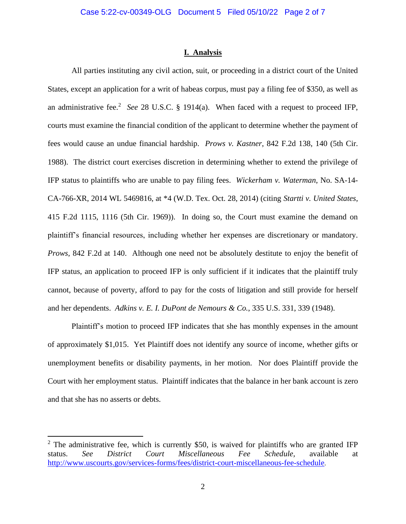#### **I. Analysis**

All parties instituting any civil action, suit, or proceeding in a district court of the United States, except an application for a writ of habeas corpus, must pay a filing fee of \$350, as well as an administrative fee.<sup>2</sup> See 28 U.S.C. § 1914(a). When faced with a request to proceed IFP, courts must examine the financial condition of the applicant to determine whether the payment of fees would cause an undue financial hardship. *Prows v. Kastner*, 842 F.2d 138, 140 (5th Cir. 1988). The district court exercises discretion in determining whether to extend the privilege of IFP status to plaintiffs who are unable to pay filing fees. *Wickerham v. Waterman*, No. SA-14- CA-766-XR, 2014 WL 5469816, at \*4 (W.D. Tex. Oct. 28, 2014) (citing *Startti v. United States*, 415 F.2d 1115, 1116 (5th Cir. 1969)). In doing so, the Court must examine the demand on plaintiff's financial resources, including whether her expenses are discretionary or mandatory. *Prows*, 842 F.2d at 140. Although one need not be absolutely destitute to enjoy the benefit of IFP status, an application to proceed IFP is only sufficient if it indicates that the plaintiff truly cannot, because of poverty, afford to pay for the costs of litigation and still provide for herself and her dependents. *Adkins v. E. I. DuPont de Nemours & Co.*, 335 U.S. 331, 339 (1948).

Plaintiff's motion to proceed IFP indicates that she has monthly expenses in the amount of approximately \$1,015. Yet Plaintiff does not identify any source of income, whether gifts or unemployment benefits or disability payments, in her motion. Nor does Plaintiff provide the Court with her employment status. Plaintiff indicates that the balance in her bank account is zero and that she has no asserts or debts.

 $2$  The administrative fee, which is currently \$50, is waived for plaintiffs who are granted IFP status. *See District Court Miscellaneous Fee Schedule,* available at <http://www.uscourts.gov/services-forms/fees/district-court-miscellaneous-fee-schedule>.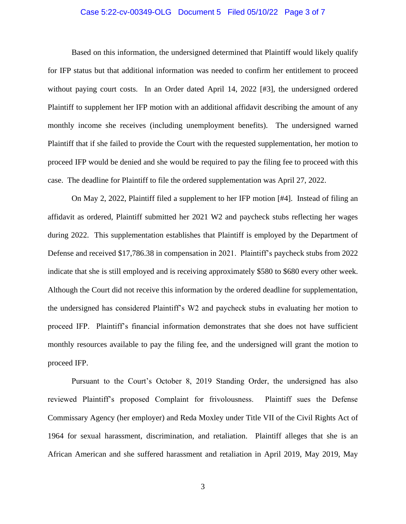### Case 5:22-cv-00349-OLG Document 5 Filed 05/10/22 Page 3 of 7

Based on this information, the undersigned determined that Plaintiff would likely qualify for IFP status but that additional information was needed to confirm her entitlement to proceed without paying court costs. In an Order dated April 14, 2022 [#3], the undersigned ordered Plaintiff to supplement her IFP motion with an additional affidavit describing the amount of any monthly income she receives (including unemployment benefits). The undersigned warned Plaintiff that if she failed to provide the Court with the requested supplementation, her motion to proceed IFP would be denied and she would be required to pay the filing fee to proceed with this case. The deadline for Plaintiff to file the ordered supplementation was April 27, 2022.

On May 2, 2022, Plaintiff filed a supplement to her IFP motion [#4]. Instead of filing an affidavit as ordered, Plaintiff submitted her 2021 W2 and paycheck stubs reflecting her wages during 2022. This supplementation establishes that Plaintiff is employed by the Department of Defense and received \$17,786.38 in compensation in 2021. Plaintiff's paycheck stubs from 2022 indicate that she is still employed and is receiving approximately \$580 to \$680 every other week. Although the Court did not receive this information by the ordered deadline for supplementation, the undersigned has considered Plaintiff's W2 and paycheck stubs in evaluating her motion to proceed IFP. Plaintiff's financial information demonstrates that she does not have sufficient monthly resources available to pay the filing fee, and the undersigned will grant the motion to proceed IFP.

Pursuant to the Court's October 8, 2019 Standing Order, the undersigned has also reviewed Plaintiff's proposed Complaint for frivolousness. Plaintiff sues the Defense Commissary Agency (her employer) and Reda Moxley under Title VII of the Civil Rights Act of 1964 for sexual harassment, discrimination, and retaliation. Plaintiff alleges that she is an African American and she suffered harassment and retaliation in April 2019, May 2019, May

3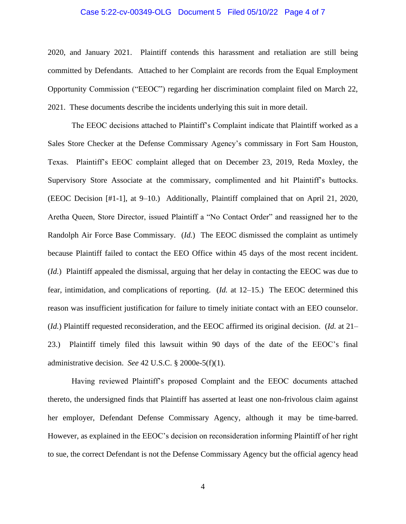### Case 5:22-cv-00349-OLG Document 5 Filed 05/10/22 Page 4 of 7

2020, and January 2021. Plaintiff contends this harassment and retaliation are still being committed by Defendants. Attached to her Complaint are records from the Equal Employment Opportunity Commission ("EEOC") regarding her discrimination complaint filed on March 22, 2021. These documents describe the incidents underlying this suit in more detail.

The EEOC decisions attached to Plaintiff's Complaint indicate that Plaintiff worked as a Sales Store Checker at the Defense Commissary Agency's commissary in Fort Sam Houston, Texas. Plaintiff's EEOC complaint alleged that on December 23, 2019, Reda Moxley, the Supervisory Store Associate at the commissary, complimented and hit Plaintiff's buttocks. (EEOC Decision [#1-1], at 9–10.) Additionally, Plaintiff complained that on April 21, 2020, Aretha Queen, Store Director, issued Plaintiff a "No Contact Order" and reassigned her to the Randolph Air Force Base Commissary. (*Id.*) The EEOC dismissed the complaint as untimely because Plaintiff failed to contact the EEO Office within 45 days of the most recent incident. (*Id.*) Plaintiff appealed the dismissal, arguing that her delay in contacting the EEOC was due to fear, intimidation, and complications of reporting. (*Id.* at 12–15.) The EEOC determined this reason was insufficient justification for failure to timely initiate contact with an EEO counselor. (*Id.*) Plaintiff requested reconsideration, and the EEOC affirmed its original decision. (*Id.* at 21– 23.) Plaintiff timely filed this lawsuit within 90 days of the date of the EEOC's final administrative decision. *See* 42 U.S.C. § 2000e-5(f)(1).

Having reviewed Plaintiff's proposed Complaint and the EEOC documents attached thereto, the undersigned finds that Plaintiff has asserted at least one non-frivolous claim against her employer, Defendant Defense Commissary Agency, although it may be time-barred. However, as explained in the EEOC's decision on reconsideration informing Plaintiff of her right to sue, the correct Defendant is not the Defense Commissary Agency but the official agency head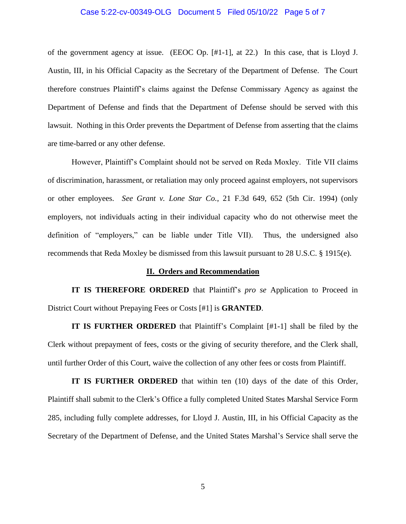#### Case 5:22-cv-00349-OLG Document 5 Filed 05/10/22 Page 5 of 7

of the government agency at issue. (EEOC Op. [#1-1], at 22.) In this case, that is Lloyd J. Austin, III, in his Official Capacity as the Secretary of the Department of Defense. The Court therefore construes Plaintiff's claims against the Defense Commissary Agency as against the Department of Defense and finds that the Department of Defense should be served with this lawsuit. Nothing in this Order prevents the Department of Defense from asserting that the claims are time-barred or any other defense.

However, Plaintiff's Complaint should not be served on Reda Moxley. Title VII claims of discrimination, harassment, or retaliation may only proceed against employers, not supervisors or other employees. *See Grant v. Lone Star Co.*, 21 F.3d 649, 652 (5th Cir. 1994) (only employers, not individuals acting in their individual capacity who do not otherwise meet the definition of "employers," can be liable under Title VII). Thus, the undersigned also recommends that Reda Moxley be dismissed from this lawsuit pursuant to 28 U.S.C. § 1915(e).

#### **II. Orders and Recommendation**

**IT IS THEREFORE ORDERED** that Plaintiff's *pro se* Application to Proceed in District Court without Prepaying Fees or Costs [#1] is **GRANTED**.

**IT IS FURTHER ORDERED** that Plaintiff's Complaint [#1-1] shall be filed by the Clerk without prepayment of fees, costs or the giving of security therefore, and the Clerk shall, until further Order of this Court, waive the collection of any other fees or costs from Plaintiff.

**IT IS FURTHER ORDERED** that within ten (10) days of the date of this Order, Plaintiff shall submit to the Clerk's Office a fully completed United States Marshal Service Form 285, including fully complete addresses, for Lloyd J. Austin, III, in his Official Capacity as the Secretary of the Department of Defense, and the United States Marshal's Service shall serve the

5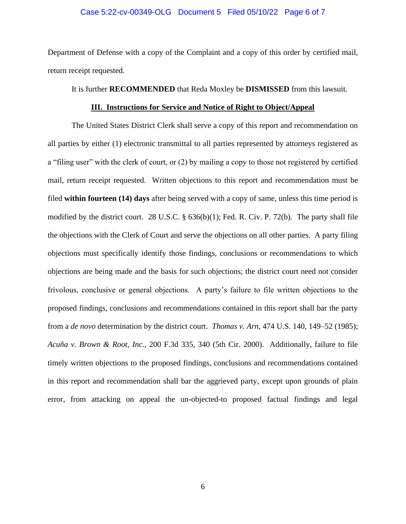#### Case 5:22-cv-00349-OLG Document 5 Filed 05/10/22 Page 6 of 7

Department of Defense with a copy of the Complaint and a copy of this order by certified mail, return receipt requested.

#### It is further **RECOMMENDED** that Reda Moxley be **DISMISSED** from this lawsuit.

#### **III. Instructions for Service and Notice of Right to Object/Appeal**

The United States District Clerk shall serve a copy of this report and recommendation on all parties by either (1) electronic transmittal to all parties represented by attorneys registered as a "filing user" with the clerk of court, or (2) by mailing a copy to those not registered by certified mail, return receipt requested. Written objections to this report and recommendation must be filed **within fourteen (14) days** after being served with a copy of same, unless this time period is modified by the district court. 28 U.S.C. § 636(b)(1); Fed. R. Civ. P. 72(b). The party shall file the objections with the Clerk of Court and serve the objections on all other parties. A party filing objections must specifically identify those findings, conclusions or recommendations to which objections are being made and the basis for such objections; the district court need not consider frivolous, conclusive or general objections. A party's failure to file written objections to the proposed findings, conclusions and recommendations contained in this report shall bar the party from a *de novo* determination by the district court. *Thomas v. Arn*, 474 U.S. 140, 149–52 (1985); *Acuña v. Brown & Root*, *Inc.,* 200 F.3d 335, 340 (5th Cir. 2000). Additionally, failure to file timely written objections to the proposed findings, conclusions and recommendations contained in this report and recommendation shall bar the aggrieved party, except upon grounds of plain error, from attacking on appeal the un-objected-to proposed factual findings and legal